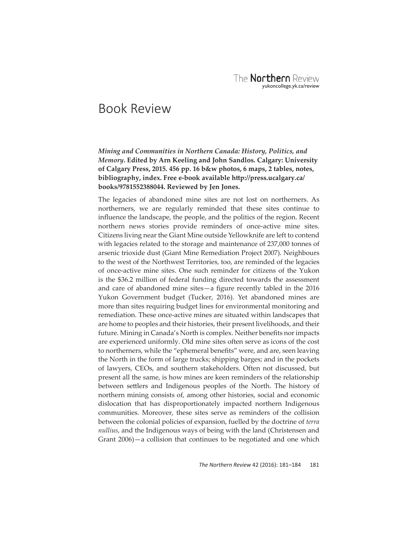## Book Review

## *Mining and Communities in Northern Canada: History, Politics, and Memory***. Edited by Arn Keeling and John Sandlos. Calgary: University of Calgary Press, 2015. 456 pp. 16 b&w photos, 6 maps, 2 tables, notes, bibliography, index. Free e-book available htt p://press.ucalgary.ca/ books/9781552388044. Reviewed by Jen Jones.**

The legacies of abandoned mine sites are not lost on northerners. As northerners, we are regularly reminded that these sites continue to influence the landscape, the people, and the politics of the region. Recent northern news stories provide reminders of once-active mine sites. Citizens living near the Giant Mine outside Yellowknife are left to contend with legacies related to the storage and maintenance of 237,000 tonnes of arsenic trioxide dust (Giant Mine Remediation Project 2007). Neighbours to the west of the Northwest Territories, too, are reminded of the legacies of once-active mine sites. One such reminder for citizens of the Yukon is the \$36.2 million of federal funding directed towards the assessment and care of abandoned mine sites $-a$  figure recently tabled in the 2016 Yukon Government budget (Tucker, 2016). Yet abandoned mines are more than sites requiring budget lines for environmental monitoring and remediation. These once-active mines are situated within landscapes that are home to peoples and their histories, their present livelihoods, and their future. Mining in Canada's North is complex. Neither benefits nor impacts are experienced uniformly. Old mine sites often serve as icons of the cost to northerners, while the "ephemeral benefits" were, and are, seen leaving the North in the form of large trucks; shipping barges; and in the pockets of lawyers, CEOs, and southern stakeholders. Often not discussed, but present all the same, is how mines are keen reminders of the relationship between settlers and Indigenous peoples of the North. The history of northern mining consists of, among other histories, social and economic dislocation that has disproportionately impacted northern Indigenous communities. Moreover, these sites serve as reminders of the collision between the colonial policies of expansion, fuelled by the doctrine of *terra nullius*, and the Indigenous ways of being with the land (Christensen and Grant 2006)—a collision that continues to be negotiated and one which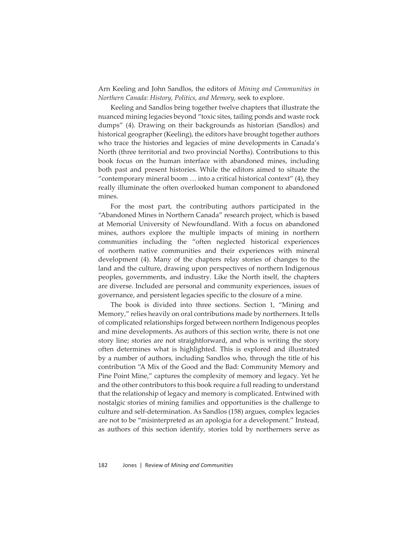Arn Keeling and John Sandlos, the editors of *Mining and Communities in Northern Canada: History, Politics, and Memory*, seek to explore.

Keeling and Sandlos bring together twelve chapters that illustrate the nuanced mining legacies beyond "toxic sites, tailing ponds and waste rock dumps" (4). Drawing on their backgrounds as historian (Sandlos) and historical geographer (Keeling), the editors have brought together authors who trace the histories and legacies of mine developments in Canada's North (three territorial and two provincial Norths). Contributions to this book focus on the human interface with abandoned mines, including both past and present histories. While the editors aimed to situate the "contemporary mineral boom  $\ldots$  into a critical historical context" (4), they really illuminate the often overlooked human component to abandoned mines.

For the most part, the contributing authors participated in the "Abandoned Mines in Northern Canada" research project, which is based at Memorial University of Newfoundland. With a focus on abandoned mines, authors explore the multiple impacts of mining in northern communities including the "often neglected historical experiences of northern native communities and their experiences with mineral development (4). Many of the chapters relay stories of changes to the land and the culture, drawing upon perspectives of northern Indigenous peoples, governments, and industry. Like the North itself, the chapters are diverse. Included are personal and community experiences, issues of governance, and persistent legacies specific to the closure of a mine.

The book is divided into three sections. Section 1, "Mining and Memory," relies heavily on oral contributions made by northerners. It tells of complicated relationships forged between northern Indigenous peoples and mine developments. As authors of this section write, there is not one story line; stories are not straightforward, and who is writing the story often determines what is highlighted. This is explored and illustrated by a number of authors, including Sandlos who, through the title of his contribution "A Mix of the Good and the Bad: Community Memory and Pine Point Mine," captures the complexity of memory and legacy. Yet he and the other contributors to this book require a full reading to understand that the relationship of legacy and memory is complicated. Entwined with nostalgic stories of mining families and opportunities is the challenge to culture and self-determination. As Sandlos (158) argues, complex legacies are not to be "misinterpreted as an apologia for a development." Instead, as authors of this section identify, stories told by northerners serve as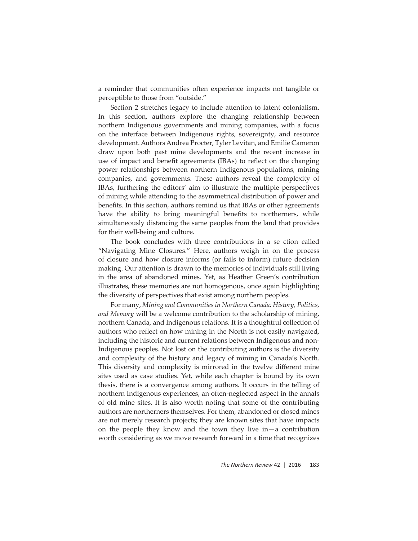a reminder that communities often experience impacts not tangible or perceptible to those from "outside."

Section 2 stretches legacy to include attention to latent colonialism. In this section, authors explore the changing relationship between northern Indigenous governments and mining companies, with a focus on the interface between Indigenous rights, sovereignty, and resource development. Authors Andrea Procter, Tyler Levitan, and Emilie Cameron draw upon both past mine developments and the recent increase in use of impact and benefit agreements (IBAs) to reflect on the changing power relationships between northern Indigenous populations, mining companies, and governments. These authors reveal the complexity of IBAs, furthering the editors' aim to illustrate the multiple perspectives of mining while attending to the asymmetrical distribution of power and benefits. In this section, authors remind us that IBAs or other agreements have the ability to bring meaningful benefits to northerners, while simultaneously distancing the same peoples from the land that provides for their well-being and culture.

The book concludes with three contributions in a se ction called "Navigating Mine Closures." Here, authors weigh in on the process of closure and how closure informs (or fails to inform) future decision making. Our attention is drawn to the memories of individuals still living in the area of abandoned mines. Yet, as Heather Green's contribution illustrates, these memories are not homogenous, once again highlighting the diversity of perspectives that exist among northern peoples.

For many, *Mining and Communities in Northern Canada: History, Politics, and Memory* will be a welcome contribution to the scholarship of mining, northern Canada, and Indigenous relations. It is a thoughtful collection of authors who reflect on how mining in the North is not easily navigated, including the historic and current relations between Indigenous and non-Indigenous peoples. Not lost on the contributing authors is the diversity and complexity of the history and legacy of mining in Canada's North. This diversity and complexity is mirrored in the twelve different mine sites used as case studies. Yet, while each chapter is bound by its own thesis, there is a convergence among authors. It occurs in the telling of northern Indigenous experiences, an often-neglected aspect in the annals of old mine sites. It is also worth noting that some of the contributing authors are northerners themselves. For them, abandoned or closed mines are not merely research projects; they are known sites that have impacts on the people they know and the town they live in—a contribution worth considering as we move research forward in a time that recognizes